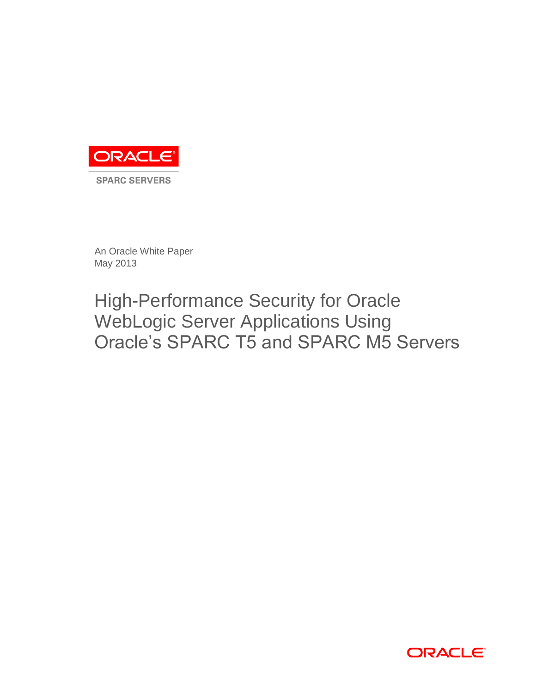

**SPARC SERVERS** 

An Oracle White Paper May 2013

# High-Performance Security for Oracle WebLogic Server Applications Using Oracle's SPARC T5 and SPARC M5 Servers

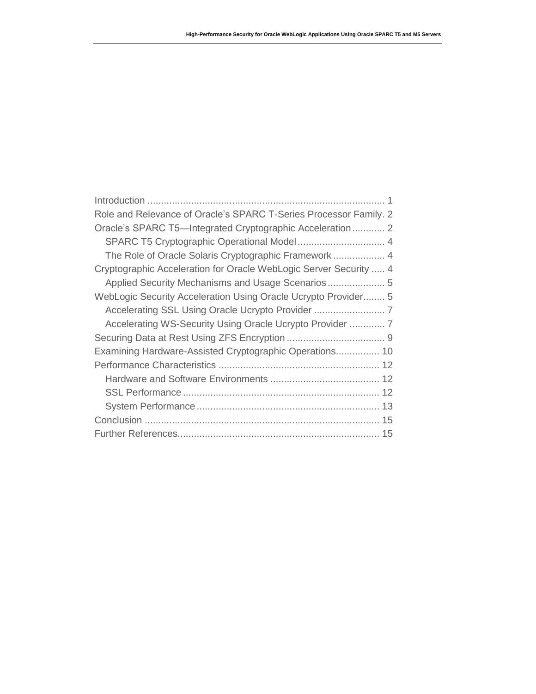| Role and Relevance of Oracle's SPARC T-Series Processor Family. 2 |
|-------------------------------------------------------------------|
| Oracle's SPARC T5-Integrated Cryptographic Acceleration 2         |
|                                                                   |
| The Role of Oracle Solaris Cryptographic Framework 4              |
| Cryptographic Acceleration for Oracle WebLogic Server Security  4 |
| Applied Security Mechanisms and Usage Scenarios 5                 |
| WebLogic Security Acceleration Using Oracle Ucrypto Provider 5    |
|                                                                   |
| Accelerating WS-Security Using Oracle Ucrypto Provider  7         |
|                                                                   |
| Examining Hardware-Assisted Cryptographic Operations 10           |
|                                                                   |
|                                                                   |
|                                                                   |
|                                                                   |
|                                                                   |
|                                                                   |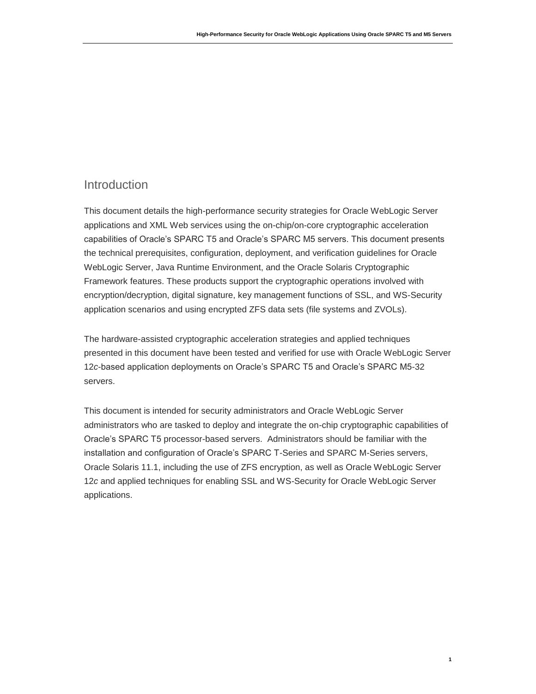# <span id="page-2-0"></span>Introduction

This document details the high-performance security strategies for Oracle WebLogic Server applications and XML Web services using the on-chip/on-core cryptographic acceleration capabilities of Oracle's SPARC T5 and Oracle's SPARC M5 servers. This document presents the technical prerequisites, configuration, deployment, and verification guidelines for Oracle WebLogic Server, Java Runtime Environment, and the Oracle Solaris Cryptographic Framework features. These products support the cryptographic operations involved with encryption/decryption, digital signature, key management functions of SSL, and WS-Security application scenarios and using encrypted ZFS data sets (file systems and ZVOLs).

The hardware-assisted cryptographic acceleration strategies and applied techniques presented in this document have been tested and verified for use with Oracle WebLogic Server 12*c*-based application deployments on Oracle's SPARC T5 and Oracle's SPARC M5-32 servers.

This document is intended for security administrators and Oracle WebLogic Server administrators who are tasked to deploy and integrate the on-chip cryptographic capabilities of Oracle's SPARC T5 processor-based servers. Administrators should be familiar with the installation and configuration of Oracle's SPARC T-Series and SPARC M-Series servers, Oracle Solaris 11.1, including the use of ZFS encryption, as well as Oracle WebLogic Server 12*c* and applied techniques for enabling SSL and WS-Security for Oracle WebLogic Server applications.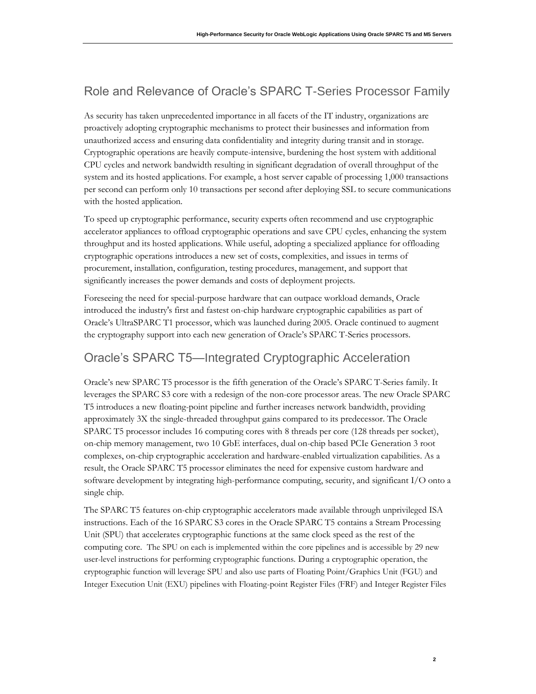# <span id="page-3-0"></span>Role and Relevance of Oracle's SPARC T-Series Processor Family

As security has taken unprecedented importance in all facets of the IT industry, organizations are proactively adopting cryptographic mechanisms to protect their businesses and information from unauthorized access and ensuring data confidentiality and integrity during transit and in storage. Cryptographic operations are heavily compute-intensive, burdening the host system with additional CPU cycles and network bandwidth resulting in significant degradation of overall throughput of the system and its hosted applications. For example, a host server capable of processing 1,000 transactions per second can perform only 10 transactions per second after deploying SSL to secure communications with the hosted application.

To speed up cryptographic performance, security experts often recommend and use cryptographic accelerator appliances to offload cryptographic operations and save CPU cycles, enhancing the system throughput and its hosted applications. While useful, adopting a specialized appliance for offloading cryptographic operations introduces a new set of costs, complexities, and issues in terms of procurement, installation, configuration, testing procedures, management, and support that significantly increases the power demands and costs of deployment projects.

Foreseeing the need for special-purpose hardware that can outpace workload demands, Oracle introduced the industry's first and fastest on-chip hardware cryptographic capabilities as part of Oracle's UltraSPARC T1 processor, which was launched during 2005. Oracle continued to augment the cryptography support into each new generation of Oracle's SPARC T-Series processors.

# <span id="page-3-1"></span>Oracle's SPARC T5—Integrated Cryptographic Acceleration

Oracle's new SPARC T5 processor is the fifth generation of the Oracle's SPARC T-Series family. It leverages the SPARC S3 core with a redesign of the non-core processor areas. The new Oracle SPARC T5 introduces a new floating-point pipeline and further increases network bandwidth, providing approximately 3X the single-threaded throughput gains compared to its predecessor. The Oracle SPARC T5 processor includes 16 computing cores with 8 threads per core (128 threads per socket), on-chip memory management, two 10 GbE interfaces, dual on-chip based PCIe Generation 3 root complexes, on-chip cryptographic acceleration and hardware-enabled virtualization capabilities. As a result, the Oracle SPARC T5 processor eliminates the need for expensive custom hardware and software development by integrating high-performance computing, security, and significant I/O onto a single chip.

The SPARC T5 features on-chip cryptographic accelerators made available through unprivileged ISA instructions. Each of the 16 SPARC S3 cores in the Oracle SPARC T5 contains a Stream Processing Unit (SPU) that accelerates cryptographic functions at the same clock speed as the rest of the computing core. The SPU on each is implemented within the core pipelines and is accessible by 29 new user-level instructions for performing cryptographic functions. During a cryptographic operation, the cryptographic function will leverage SPU and also use parts of Floating Point/Graphics Unit (FGU) and Integer Execution Unit (EXU) pipelines with Floating-point Register Files (FRF) and Integer Register Files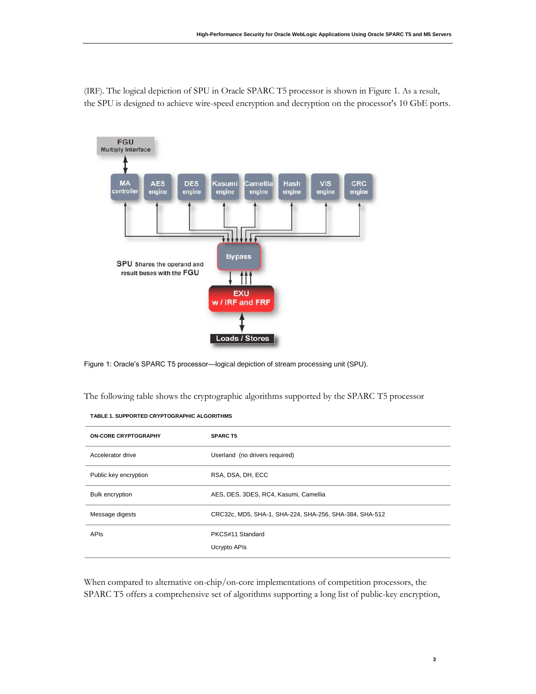(IRF). The logical depiction of SPU in Oracle SPARC T5 processor is shown in Figure 1. As a result, the SPU is designed to achieve wire-speed encryption and decryption on the processor's 10 GbE ports.



Figure 1: Oracle's SPARC T5 processor—logical depiction of stream processing unit (SPU).

The following table shows the cryptographic algorithms supported by the SPARC T5 processor

| <b>TABLE 1. SUPPORTED CRYPTOGRAPHIC ALGORITHMS</b> |
|----------------------------------------------------|
|                                                    |

| <b>ON-CORE CRYPTOGRAPHY</b> | <b>SPARC T5</b>                                        |
|-----------------------------|--------------------------------------------------------|
| Accelerator drive           | Userland (no drivers required)                         |
| Public key encryption       | RSA, DSA, DH, ECC                                      |
| <b>Bulk encryption</b>      | AES, DES, 3DES, RC4, Kasumi, Camellia                  |
| Message digests             | CRC32c, MD5, SHA-1, SHA-224, SHA-256, SHA-384, SHA-512 |
| <b>APIS</b>                 | PKCS#11 Standard<br>Ucrypto APIs                       |

When compared to alternative on-chip/on-core implementations of competition processors, the SPARC T5 offers a comprehensive set of algorithms supporting a long list of public-key encryption,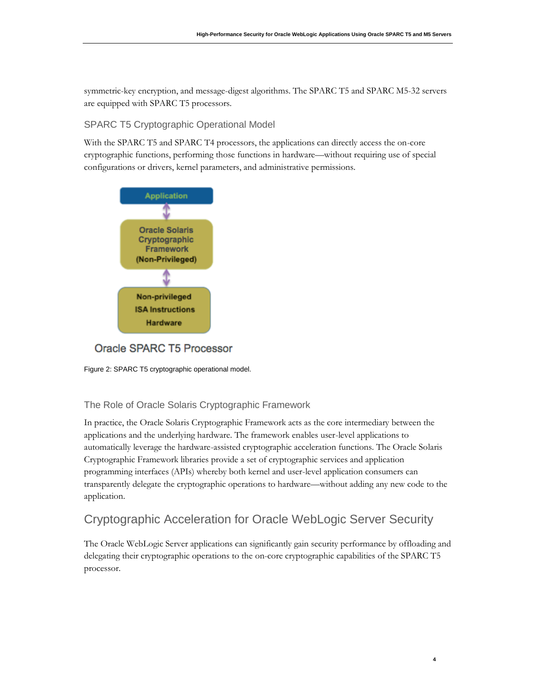symmetric-key encryption, and message-digest algorithms. The SPARC T5 and SPARC M5-32 servers are equipped with SPARC T5 processors.

#### <span id="page-5-0"></span>SPARC T5 Cryptographic Operational Model

With the SPARC T5 and SPARC T4 processors, the applications can directly access the on-core cryptographic functions, performing those functions in hardware—without requiring use of special configurations or drivers, kernel parameters, and administrative permissions.



Oracle SPARC T5 Processor



#### <span id="page-5-1"></span>The Role of Oracle Solaris Cryptographic Framework

In practice, the Oracle Solaris Cryptographic Framework acts as the core intermediary between the applications and the underlying hardware. The framework enables user-level applications to automatically leverage the hardware-assisted cryptographic acceleration functions. The Oracle Solaris Cryptographic Framework libraries provide a set of cryptographic services and application programming interfaces (APIs) whereby both kernel and user-level application consumers can transparently delegate the cryptographic operations to hardware—without adding any new code to the application.

# <span id="page-5-2"></span>Cryptographic Acceleration for Oracle WebLogic Server Security

The Oracle WebLogic Server applications can significantly gain security performance by offloading and delegating their cryptographic operations to the on-core cryptographic capabilities of the SPARC T5 processor.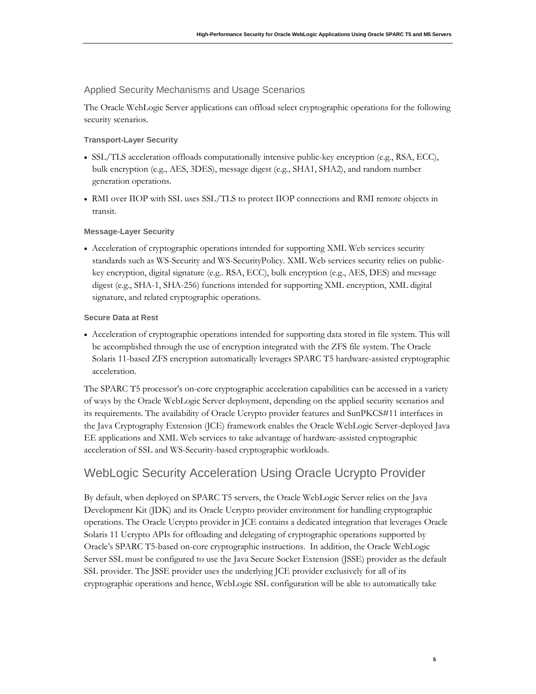#### <span id="page-6-0"></span>Applied Security Mechanisms and Usage Scenarios

The Oracle WebLogic Server applications can offload select cryptographic operations for the following security scenarios.

#### **Transport-Layer Security**

- SSL/TLS acceleration offloads computationally intensive public-key encryption (e.g., RSA, ECC), bulk encryption (e.g., AES, 3DES), message digest (e.g., SHA1, SHA2), and random number generation operations.
- RMI over IIOP with SSL uses SSL/TLS to protect IIOP connections and RMI remote objects in transit.

#### **Message-Layer Security**

 Acceleration of cryptographic operations intended for supporting XML Web services security standards such as WS-Security and WS-SecurityPolicy. XML Web services security relies on publickey encryption, digital signature (e.g.. RSA, ECC), bulk encryption (e.g., AES, DES) and message digest (e.g., SHA-1, SHA-256) functions intended for supporting XML encryption, XML digital signature, and related cryptographic operations.

#### **Secure Data at Rest**

 Acceleration of cryptographic operations intended for supporting data stored in file system. This will be accomplished through the use of encryption integrated with the ZFS file system. The Oracle Solaris 11-based ZFS encryption automatically leverages SPARC T5 hardware-assisted cryptographic acceleration.

The SPARC T5 processor's on-core cryptographic acceleration capabilities can be accessed in a variety of ways by the Oracle WebLogic Server deployment, depending on the applied security scenarios and its requirements. The availability of Oracle Ucrypto provider features and SunPKCS#11 interfaces in the Java Cryptography Extension (JCE) framework enables the Oracle WebLogic Server-deployed Java EE applications and XML Web services to take advantage of hardware-assisted cryptographic acceleration of SSL and WS-Security-based cryptographic workloads.

# <span id="page-6-1"></span>WebLogic Security Acceleration Using Oracle Ucrypto Provider

By default, when deployed on SPARC T5 servers, the Oracle WebLogic Server relies on the Java Development Kit (JDK) and its Oracle Ucrypto provider environment for handling cryptographic operations. The Oracle Ucrypto provider in JCE contains a dedicated integration that leverages Oracle Solaris 11 Ucrypto APIs for offloading and delegating of cryptographic operations supported by Oracle's SPARC T5-based on-core cryptographic instructions. In addition, the Oracle WebLogic Server SSL must be configured to use the Java Secure Socket Extension (JSSE) provider as the default SSL provider. The JSSE provider uses the underlying JCE provider exclusively for all of its cryptographic operations and hence, WebLogic SSL configuration will be able to automatically take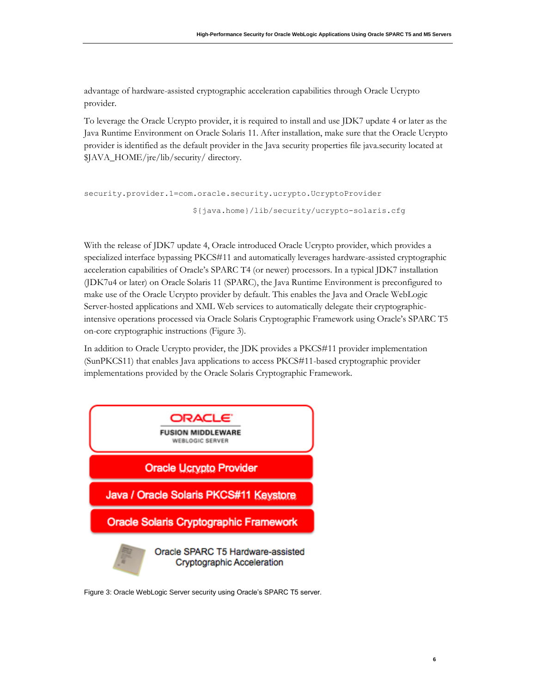advantage of hardware-assisted cryptographic acceleration capabilities through Oracle Ucrypto provider.

To leverage the Oracle Ucrypto provider, it is required to install and use JDK7 update 4 or later as the Java Runtime Environment on Oracle Solaris 11. After installation, make sure that the Oracle Ucrypto provider is identified as the default provider in the Java security properties file java.security located at \$JAVA\_HOME/jre/lib/security/ directory.

```
security.provider.1=com.oracle.security.ucrypto.UcryptoProvider
                        ${java.home}/lib/security/ucrypto-solaris.cfg
```
With the release of JDK7 update 4, Oracle introduced Oracle Ucrypto provider, which provides a specialized interface bypassing PKCS#11 and automatically leverages hardware-assisted cryptographic acceleration capabilities of Oracle's SPARC T4 (or newer) processors. In a typical JDK7 installation (JDK7u4 or later) on Oracle Solaris 11 (SPARC), the Java Runtime Environment is preconfigured to make use of the Oracle Ucrypto provider by default. This enables the Java and Oracle WebLogic Server-hosted applications and XML Web services to automatically delegate their cryptographicintensive operations processed via Oracle Solaris Cryptographic Framework using Oracle's SPARC T5 on-core cryptographic instructions (Figure 3).

In addition to Oracle Ucrypto provider, the JDK provides a PKCS#11 provider implementation (SunPKCS11) that enables Java applications to access PKCS#11-based cryptographic provider implementations provided by the Oracle Solaris Cryptographic Framework.



Figure 3: Oracle WebLogic Server security using Oracle's SPARC T5 server.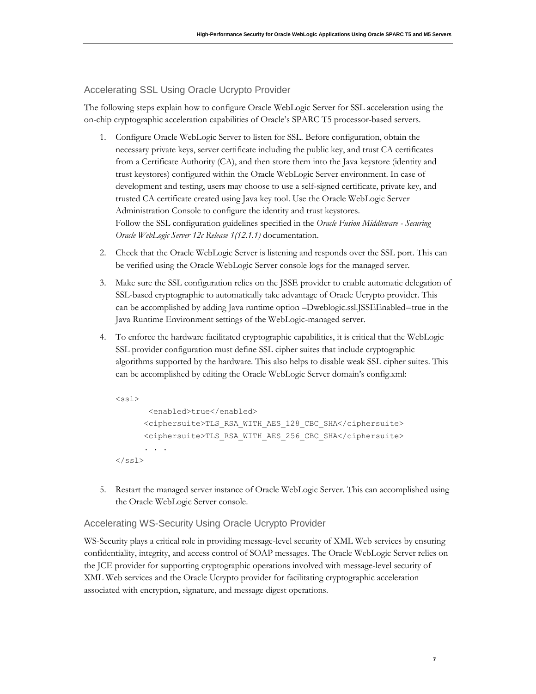#### <span id="page-8-0"></span>Accelerating SSL Using Oracle Ucrypto Provider

The following steps explain how to configure Oracle WebLogic Server for SSL acceleration using the on-chip cryptographic acceleration capabilities of Oracle's SPARC T5 processor-based servers.

- 1. Configure Oracle WebLogic Server to listen for SSL. Before configuration, obtain the necessary private keys, server certificate including the public key, and trust CA certificates from a Certificate Authority (CA), and then store them into the Java keystore (identity and trust keystores) configured within the Oracle WebLogic Server environment. In case of development and testing, users may choose to use a self-signed certificate, private key, and trusted CA certificate created using Java key tool. Use the Oracle WebLogic Server Administration Console to configure the identity and trust keystores. Follow the SSL configuration guidelines specified in the *Oracle Fusion Middleware - Securing Oracle WebLogic Server 12c Release 1(12.1.1)* documentation.
- 2. Check that the Oracle WebLogic Server is listening and responds over the SSL port. This can be verified using the Oracle WebLogic Server console logs for the managed server.
- 3. Make sure the SSL configuration relies on the JSSE provider to enable automatic delegation of SSL-based cryptographic to automatically take advantage of Oracle Ucrypto provider. This can be accomplished by adding Java runtime option –Dweblogic.ssl.JSSEEnabled=true in the Java Runtime Environment settings of the WebLogic-managed server.
- 4. To enforce the hardware facilitated cryptographic capabilities, it is critical that the WebLogic SSL provider configuration must define SSL cipher suites that include cryptographic algorithms supported by the hardware. This also helps to disable weak SSL cipher suites. This can be accomplished by editing the Oracle WebLogic Server domain's config.xml:

```
<ssl>
        <enabled>true</enabled>
       <ciphersuite>TLS_RSA_WITH_AES_128_CBC_SHA</ciphersuite>
       <ciphersuite>TLS_RSA_WITH_AES_256_CBC_SHA</ciphersuite>
 . . .
\langle/ssl\rangle
```
5. Restart the managed server instance of Oracle WebLogic Server. This can accomplished using the Oracle WebLogic Server console.

#### <span id="page-8-1"></span>Accelerating WS-Security Using Oracle Ucrypto Provider

WS-Security plays a critical role in providing message-level security of XML Web services by ensuring confidentiality, integrity, and access control of SOAP messages. The Oracle WebLogic Server relies on the JCE provider for supporting cryptographic operations involved with message-level security of XML Web services and the Oracle Ucrypto provider for facilitating cryptographic acceleration associated with encryption, signature, and message digest operations.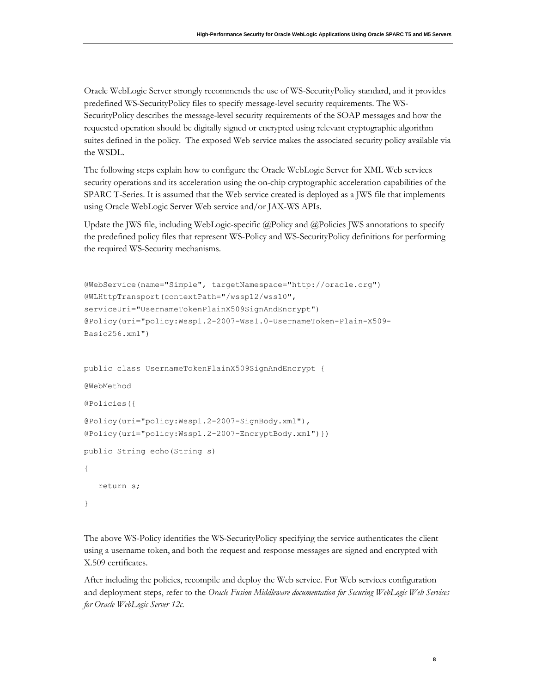Oracle WebLogic Server strongly recommends the use of WS-SecurityPolicy standard, and it provides predefined WS-SecurityPolicy files to specify message-level security requirements. The WS-SecurityPolicy describes the message-level security requirements of the SOAP messages and how the requested operation should be digitally signed or encrypted using relevant cryptographic algorithm suites defined in the policy. The exposed Web service makes the associated security policy available via the WSDL.

The following steps explain how to configure the Oracle WebLogic Server for XML Web services security operations and its acceleration using the on-chip cryptographic acceleration capabilities of the SPARC T-Series. It is assumed that the Web service created is deployed as a JWS file that implements using Oracle WebLogic Server Web service and/or JAX-WS APIs.

Update the JWS file, including WebLogic-specific @Policy and @Policies JWS annotations to specify the predefined policy files that represent WS-Policy and WS-SecurityPolicy definitions for performing the required WS-Security mechanisms.

```
@WebService(name="Simple", targetNamespace="http://oracle.org") 
@WLHttpTransport(contextPath="/wssp12/wss10", 
serviceUri="UsernameTokenPlainX509SignAndEncrypt") 
@Policy(uri="policy:Wssp1.2-2007-Wss1.0-UsernameToken-Plain-X509-
Basic256.xml") 
public class UsernameTokenPlainX509SignAndEncrypt { 
@WebMethod 
@Policies({ 
@Policy(uri="policy:Wssp1.2-2007-SignBody.xml"), 
@Policy(uri="policy:Wssp1.2-2007-EncryptBody.xml")}) 
public String echo(String s) 
{ 
   return s; 
}
```
The above WS-Policy identifies the WS-SecurityPolicy specifying the service authenticates the client using a username token, and both the request and response messages are signed and encrypted with X.509 certificates.

After including the policies, recompile and deploy the Web service. For Web services configuration and deployment steps, refer to the *Oracle Fusion Middleware documentation for Securing WebLogic Web Services for Oracle WebLogic Server 12c*.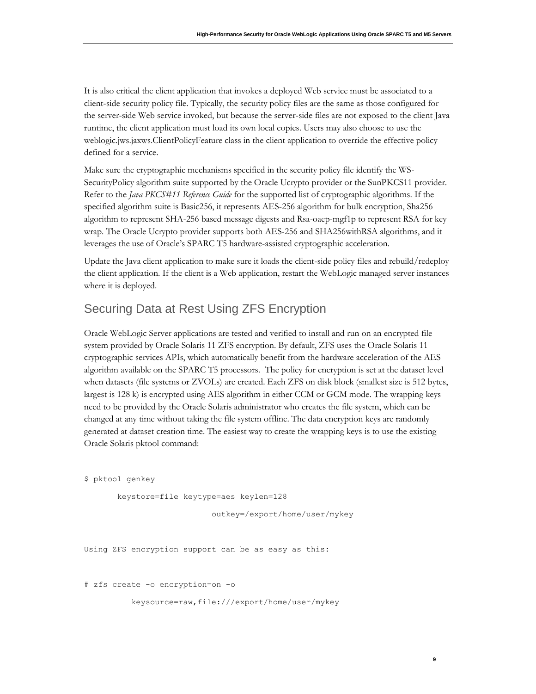It is also critical the client application that invokes a deployed Web service must be associated to a client-side security policy file. Typically, the security policy files are the same as those configured for the server-side Web service invoked, but because the server-side files are not exposed to the client Java runtime, the client application must load its own local copies. Users may also choose to use the weblogic.jws.jaxws.ClientPolicyFeature class in the client application to override the effective policy defined for a service.

Make sure the cryptographic mechanisms specified in the security policy file identify the WS-SecurityPolicy algorithm suite supported by the Oracle Ucrypto provider or the SunPKCS11 provider. Refer to the *Java PKCS#11 Reference Guide* for the supported list of cryptographic algorithms. If the specified algorithm suite is Basic256, it represents AES-256 algorithm for bulk encryption, Sha256 algorithm to represent SHA-256 based message digests and Rsa-oaep-mgf1p to represent RSA for key wrap. The Oracle Ucrypto provider supports both AES-256 and SHA256withRSA algorithms, and it leverages the use of Oracle's SPARC T5 hardware-assisted cryptographic acceleration.

Update the Java client application to make sure it loads the client-side policy files and rebuild/redeploy the client application. If the client is a Web application, restart the WebLogic managed server instances where it is deployed.

## <span id="page-10-0"></span>Securing Data at Rest Using ZFS Encryption

Oracle WebLogic Server applications are tested and verified to install and run on an encrypted file system provided by Oracle Solaris 11 ZFS encryption. By default, ZFS uses the Oracle Solaris 11 cryptographic services APIs, which automatically benefit from the hardware acceleration of the AES algorithm available on the SPARC T5 processors. The policy for encryption is set at the dataset level when datasets (file systems or ZVOLs) are created. Each ZFS on disk block (smallest size is 512 bytes, largest is 128 k) is encrypted using AES algorithm in either CCM or GCM mode. The wrapping keys need to be provided by the Oracle Solaris administrator who creates the file system, which can be changed at any time without taking the file system offline. The data encryption keys are randomly generated at dataset creation time. The easiest way to create the wrapping keys is to use the existing Oracle Solaris pktool command:

\$ pktool genkey

```
 keystore=file keytype=aes keylen=128
```
outkey=/export/home/user/mykey

**9**

Using ZFS encryption support can be as easy as this:

# zfs create -o encryption=on -o

keysource=raw,file:///export/home/user/mykey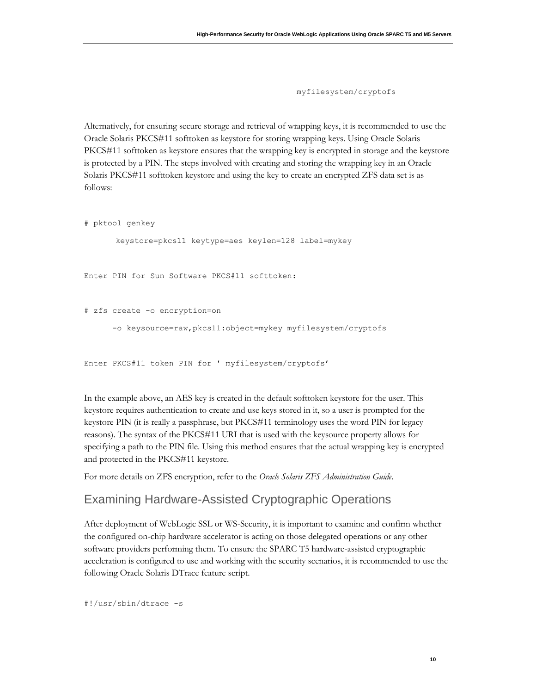myfilesystem/cryptofs

Alternatively, for ensuring secure storage and retrieval of wrapping keys, it is recommended to use the Oracle Solaris PKCS#11 softtoken as keystore for storing wrapping keys. Using Oracle Solaris PKCS#11 softtoken as keystore ensures that the wrapping key is encrypted in storage and the keystore is protected by a PIN. The steps involved with creating and storing the wrapping key in an Oracle Solaris PKCS#11 softtoken keystore and using the key to create an encrypted ZFS data set is as follows:

# pktool genkey

keystore=pkcs11 keytype=aes keylen=128 label=mykey

Enter PIN for Sun Software PKCS#11 softtoken:

```
# zfs create -o encryption=on 
       -o keysource=raw,pkcs11:object=mykey myfilesystem/cryptofs
```
Enter PKCS#11 token PIN for ' myfilesystem/cryptofs'

In the example above, an AES key is created in the default softtoken keystore for the user. This keystore requires authentication to create and use keys stored in it, so a user is prompted for the keystore PIN (it is really a passphrase, but PKCS#11 terminology uses the word PIN for legacy reasons). The syntax of the PKCS#11 URI that is used with the keysource property allows for specifying a path to the PIN file. Using this method ensures that the actual wrapping key is encrypted and protected in the PKCS#11 keystore.

For more details on ZFS encryption, refer to the *Oracle Solaris ZFS Administration Guide*.

### <span id="page-11-0"></span>Examining Hardware-Assisted Cryptographic Operations

After deployment of WebLogic SSL or WS-Security, it is important to examine and confirm whether the configured on-chip hardware accelerator is acting on those delegated operations or any other software providers performing them. To ensure the SPARC T5 hardware-assisted cryptographic acceleration is configured to use and working with the security scenarios, it is recommended to use the following Oracle Solaris DTrace feature script.

#!/usr/sbin/dtrace -s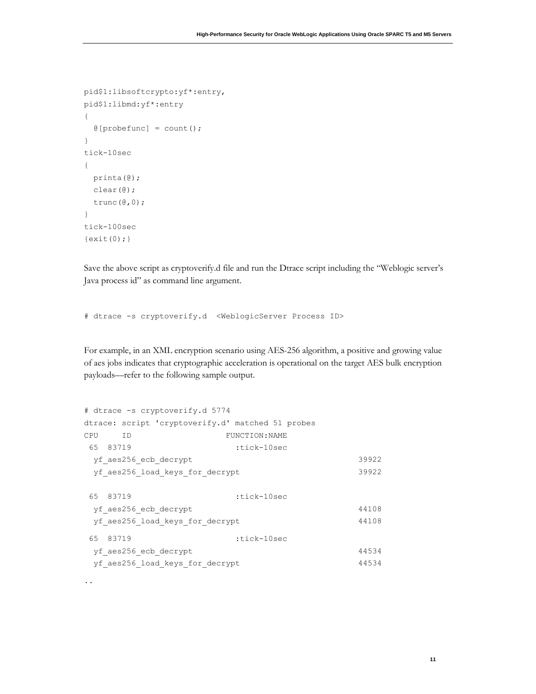```
pid$1:libsoftcrypto:yf*:entry, 
pid$1:libmd:yf*:entry 
{ 
  @[probefunc] = count();} 
tick-10sec 
{ 
  printa(@); 
  clear(@); 
  trunc(@,0); 
} 
tick-100sec 
\{exit(0); \}
```
..

Save the above script as cryptoverify.d file and run the Dtrace script including the "Weblogic server's Java process id" as command line argument.

# dtrace -s cryptoverify.d <WeblogicServer Process ID>

For example, in an XML encryption scenario using AES-256 algorithm, a positive and growing value of aes jobs indicates that cryptographic acceleration is operational on the target AES bulk encryption payloads—refer to the following sample output.

|          | # dtrace -s cryptoverify.d 5774                   |                |       |
|----------|---------------------------------------------------|----------------|-------|
|          | dtrace: script 'cryptoverify.d' matched 51 probes |                |       |
| CPU      | <b>ID</b>                                         | FUNCTION: NAME |       |
| 65 83719 |                                                   | :tick-10sec    |       |
|          | yf aes256 ecb decrypt                             |                | 39922 |
|          | yf aes256 load keys for decrypt                   |                | 39922 |
|          |                                                   |                |       |
| 65 83719 |                                                   | :tick-10sec    |       |
|          | yf aes256 ecb decrypt                             |                | 44108 |
|          | yf aes256 load keys for decrypt                   |                | 44108 |
| 65 83719 |                                                   | :tick-10sec    |       |
|          | yf aes256 ecb decrypt                             |                | 44534 |
|          | yf aes256 load keys for decrypt                   |                | 44534 |
|          |                                                   |                |       |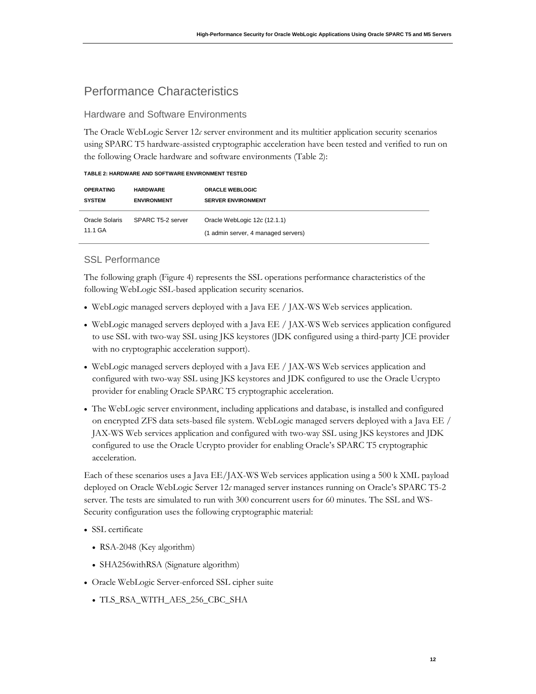# <span id="page-13-0"></span>Performance Characteristics

#### <span id="page-13-1"></span>Hardware and Software Environments

The Oracle WebLogic Server 12*c* server environment and its multitier application security scenarios using SPARC T5 hardware-assisted cryptographic acceleration have been tested and verified to run on the following Oracle hardware and software environments (Table 2):

| TABLE 2: HARDWARE AND SOFTWARE ENVIRONMENT TESTED |  |  |
|---------------------------------------------------|--|--|
|                                                   |  |  |

| <b>OPERATING</b>          | <b>HARDWARE</b>    | <b>ORACLE WEBLOGIC</b>                                              |
|---------------------------|--------------------|---------------------------------------------------------------------|
| <b>SYSTEM</b>             | <b>ENVIRONMENT</b> | <b>SERVER ENVIRONMENT</b>                                           |
| Oracle Solaris<br>11.1 GA | SPARC T5-2 server  | Oracle WebLogic 12c (12.1.1)<br>(1 admin server, 4 managed servers) |

#### <span id="page-13-2"></span>SSL Performance

The following graph (Figure 4) represents the SSL operations performance characteristics of the following WebLogic SSL-based application security scenarios.

- WebLogic managed servers deployed with a Java EE / JAX-WS Web services application.
- WebLogic managed servers deployed with a Java EE / JAX-WS Web services application configured to use SSL with two-way SSL using JKS keystores (JDK configured using a third-party JCE provider with no cryptographic acceleration support).
- WebLogic managed servers deployed with a Java EE / JAX-WS Web services application and configured with two-way SSL using JKS keystores and JDK configured to use the Oracle Ucrypto provider for enabling Oracle SPARC T5 cryptographic acceleration.
- The WebLogic server environment, including applications and database, is installed and configured on encrypted ZFS data sets-based file system. WebLogic managed servers deployed with a Java EE / JAX-WS Web services application and configured with two-way SSL using JKS keystores and JDK configured to use the Oracle Ucrypto provider for enabling Oracle's SPARC T5 cryptographic acceleration.

Each of these scenarios uses a Java EE/JAX-WS Web services application using a 500 k XML payload deployed on Oracle WebLogic Server 12*c* managed server instances running on Oracle's SPARC T5-2 server. The tests are simulated to run with 300 concurrent users for 60 minutes. The SSL and WS-Security configuration uses the following cryptographic material:

- SSL certificate
	- RSA-2048 (Key algorithm)
	- SHA256withRSA (Signature algorithm)
- Oracle WebLogic Server-enforced SSL cipher suite
	- TLS\_RSA\_WITH\_AES\_256\_CBC\_SHA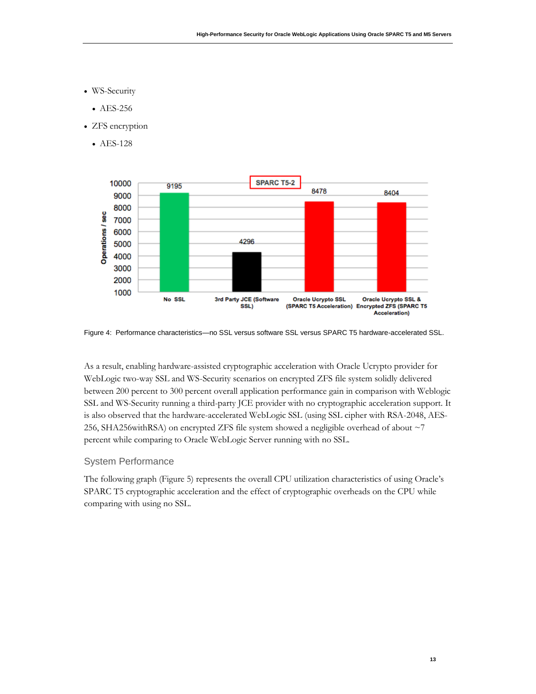- WS-Security
	- AES-256
- ZFS encryption
	- AES-128



Figure 4: Performance characteristics—no SSL versus software SSL versus SPARC T5 hardware-accelerated SSL.

As a result, enabling hardware-assisted cryptographic acceleration with Oracle Ucrypto provider for WebLogic two-way SSL and WS-Security scenarios on encrypted ZFS file system solidly delivered between 200 percent to 300 percent overall application performance gain in comparison with Weblogic SSL and WS-Security running a third-party JCE provider with no cryptographic acceleration support. It is also observed that the hardware-accelerated WebLogic SSL (using SSL cipher with RSA-2048, AES-256, SHA256withRSA) on encrypted ZFS file system showed a negligible overhead of about ~7 percent while comparing to Oracle WebLogic Server running with no SSL.

#### <span id="page-14-0"></span>System Performance

The following graph (Figure 5) represents the overall CPU utilization characteristics of using Oracle's SPARC T5 cryptographic acceleration and the effect of cryptographic overheads on the CPU while comparing with using no SSL.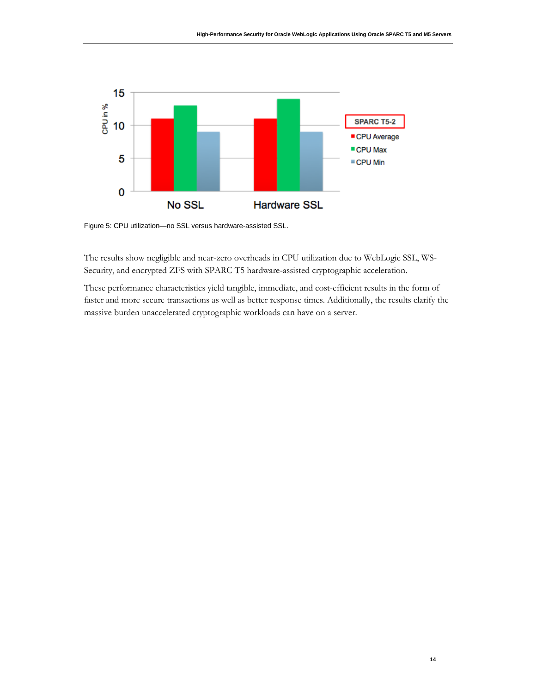

Figure 5: CPU utilization—no SSL versus hardware-assisted SSL.

The results show negligible and near-zero overheads in CPU utilization due to WebLogic SSL, WS-Security, and encrypted ZFS with SPARC T5 hardware-assisted cryptographic acceleration.

These performance characteristics yield tangible, immediate, and cost-efficient results in the form of faster and more secure transactions as well as better response times. Additionally, the results clarify the massive burden unaccelerated cryptographic workloads can have on a server.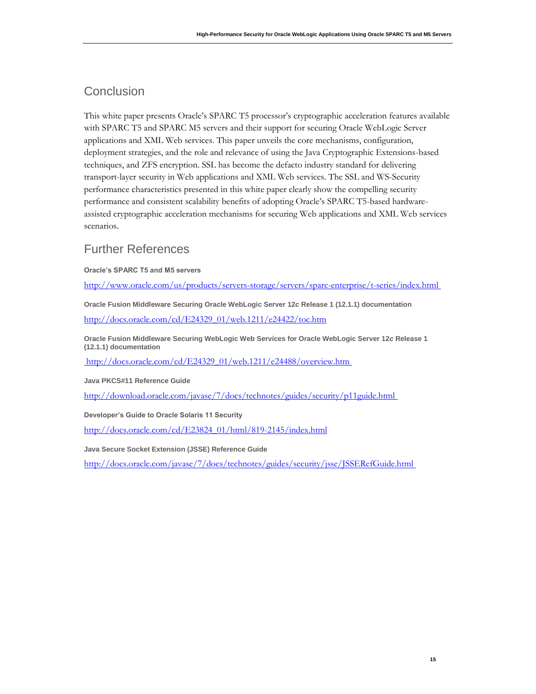# <span id="page-16-0"></span>**Conclusion**

This white paper presents Oracle's SPARC T5 processor's cryptographic acceleration features available with SPARC T5 and SPARC M5 servers and their support for securing Oracle WebLogic Server applications and XML Web services. This paper unveils the core mechanisms, configuration, deployment strategies, and the role and relevance of using the Java Cryptographic Extensions-based techniques, and ZFS encryption. SSL has become the defacto industry standard for delivering transport-layer security in Web applications and XML Web services. The SSL and WS-Security performance characteristics presented in this white paper clearly show the compelling security performance and consistent scalability benefits of adopting Oracle's SPARC T5-based hardwareassisted cryptographic acceleration mechanisms for securing Web applications and XML Web services scenarios.

# <span id="page-16-1"></span>Further References

**Oracle's SPARC T5 and M5 servers**

<http://www.oracle.com/us/products/servers-storage/servers/sparc-enterprise/t-series/index.html>

**Oracle Fusion Middleware Securing Oracle WebLogic Server 12***c* **Release 1 (12.1.1) documentation**  [http://docs.oracle.com/cd/E24329\\_01/web.1211/e24422/toc.htm](http://docs.oracle.com/cd/E24329_01/web.1211/e24422/toc.htm)

**Oracle Fusion Middleware Securing WebLogic Web Services for Oracle WebLogic Server 12***c* **Release 1 (12.1.1) documentation** 

[http://docs.oracle.com/cd/E24329\\_01/web.1211/e24488/overview.htm](http://docs.oracle.com/cd/E24329_01/web.1211/e24488/overview.htm)

**Java PKCS#11 Reference Guide**

<http://download.oracle.com/javase/7/docs/technotes/guides/security/p11guide.html>

**Developer's Guide to Oracle Solaris 11 Security**

[http://docs.oracle.com/cd/E23824\\_01/html/819-2145/index.html](http://docs.oracle.com/cd/E23824_01/html/819-2145/index.html)

**Java Secure Socket Extension (JSSE) Reference Guide**

<http://docs.oracle.com/javase/7/docs/technotes/guides/security/jsse/JSSERefGuide.html>